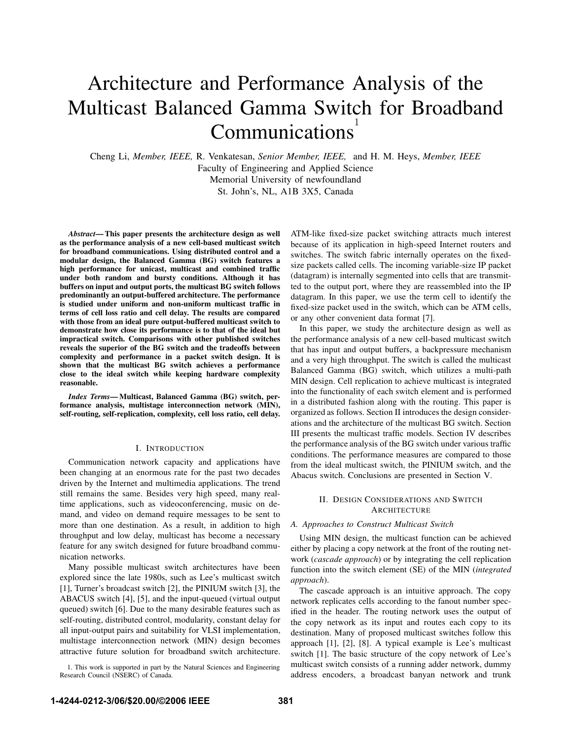# Architecture and Performance Analysis of the Multicast Balanced Gamma Switch for Broadband **Communications**

Cheng Li, *Member, IEEE,* R. Venkatesan, *Senior Member, IEEE,* and H. M. Heys, *Member, IEEE* Faculty of Engineering and Applied Science Memorial University of newfoundland

St. John's, NL, A1B 3X5, Canada

*Abstract***— This paper presents the architecture design as well as the performance analysis of a new cell-based multicast switch for broadband communications. Using distributed control and a modular design, the Balanced Gamma (BG) switch features a high performance for unicast, multicast and combined traffic under both random and bursty conditions. Although it has buffers on input and output ports, the multicast BG switch follows predominantly an output-buffered architecture. The performance is studied under uniform and non-uniform multicast traffic in terms of cell loss ratio and cell delay. The results are compared with those from an ideal pure output-buffered multicast switch to demonstrate how close its performance is to that of the ideal but impractical switch. Comparisons with other published switches reveals the superior of the BG switch and the tradeoffs between complexity and performance in a packet switch design. It is shown that the multicast BG switch achieves a performance close to the ideal switch while keeping hardware complexity reasonable.**

*Index Terms***— Multicast, Balanced Gamma (BG) switch, performance analysis, multistage interconnection network (MIN), self-routing, self-replication, complexity, cell loss ratio, cell delay.**

#### I. INTRODUCTION

Communication network capacity and applications have been changing at an enormous rate for the past two decades driven by the Internet and multimedia applications. The trend still remains the same. Besides very high speed, many realtime applications, such as videoconferencing, music on demand, and video on demand require messages to be sent to more than one destination. As a result, in addition to high throughput and low delay, multicast has become a necessary feature for any switch designed for future broadband communication networks.

Many possible multicast switch architectures have been explored since the late 1980s, such as Lee's multicast switch [1], Turner's broadcast switch [2], the PINIUM switch [3], the ABACUS switch [4], [5], and the input-queued (virtual output queued) switch [6]. Due to the many desirable features such as self-routing, distributed control, modularity, constant delay for all input-output pairs and suitability for VLSI implementation, multistage interconnection network (MIN) design becomes attractive future solution for broadband switch architecture.

1. This work is supported in part by the Natural Sciences and Engineering Research Council (NSERC) of Canada.

ATM-like fixed-size packet switching attracts much interest because of its application in high-speed Internet routers and switches. The switch fabric internally operates on the fixedsize packets called cells. The incoming variable-size IP packet (datagram) is internally segmented into cells that are transmitted to the output port, where they are reassembled into the IP datagram. In this paper, we use the term cell to identify the fixed-size packet used in the switch, which can be ATM cells, or any other convenient data format [7].

In this paper, we study the architecture design as well as the performance analysis of a new cell-based multicast switch that has input and output buffers, a backpressure mechanism and a very high throughput. The switch is called the multicast Balanced Gamma (BG) switch, which utilizes a multi-path MIN design. Cell replication to achieve multicast is integrated into the functionality of each switch element and is performed in a distributed fashion along with the routing. This paper is organized as follows. Section II introduces the design considerations and the architecture of the multicast BG switch. Section III presents the multicast traffic models. Section IV describes the performance analysis of the BG switch under various traffic conditions. The performance measures are compared to those from the ideal multicast switch, the PINIUM switch, and the Abacus switch. Conclusions are presented in Section V.

# II. DESIGN CONSIDERATIONS AND SWITCH ARCHITECTURE

#### *A. Approaches to Construct Multicast Switch*

Using MIN design, the multicast function can be achieved either by placing a copy network at the front of the routing network (*cascade approach*) or by integrating the cell replication function into the switch element (SE) of the MIN (*integrated approach*).

The cascade approach is an intuitive approach. The copy network replicates cells according to the fanout number specified in the header. The routing network uses the output of the copy network as its input and routes each copy to its destination. Many of proposed multicast switches follow this approach [1], [2], [8]. A typical example is Lee's multicast switch [1]. The basic structure of the copy network of Lee's multicast switch consists of a running adder network, dummy address encoders, a broadcast banyan network and trunk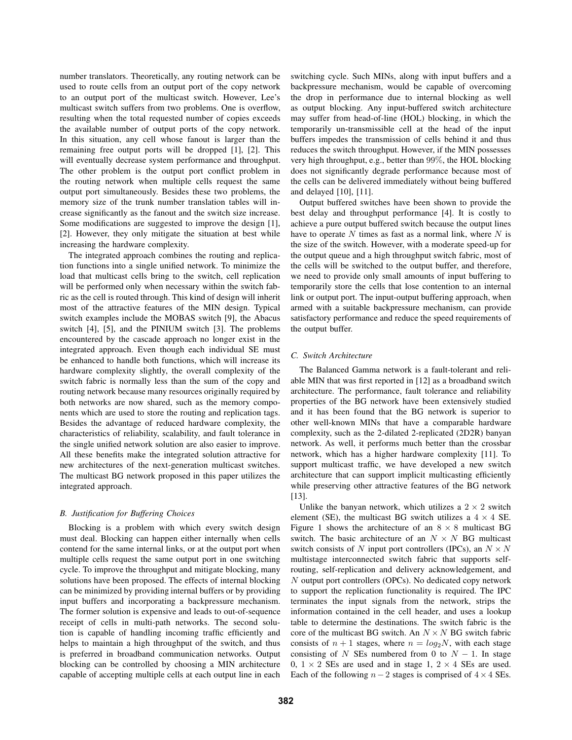number translators. Theoretically, any routing network can be used to route cells from an output port of the copy network to an output port of the multicast switch. However, Lee's multicast switch suffers from two problems. One is overflow, resulting when the total requested number of copies exceeds the available number of output ports of the copy network. In this situation, any cell whose fanout is larger than the remaining free output ports will be dropped [1], [2]. This will eventually decrease system performance and throughput. The other problem is the output port conflict problem in the routing network when multiple cells request the same output port simultaneously. Besides these two problems, the memory size of the trunk number translation tables will increase significantly as the fanout and the switch size increase. Some modifications are suggested to improve the design [1], [2]. However, they only mitigate the situation at best while increasing the hardware complexity.

The integrated approach combines the routing and replication functions into a single unified network. To minimize the load that multicast cells bring to the switch, cell replication will be performed only when necessary within the switch fabric as the cell is routed through. This kind of design will inherit most of the attractive features of the MIN design. Typical switch examples include the MOBAS switch [9], the Abacus switch [4], [5], and the PINIUM switch [3]. The problems encountered by the cascade approach no longer exist in the integrated approach. Even though each individual SE must be enhanced to handle both functions, which will increase its hardware complexity slightly, the overall complexity of the switch fabric is normally less than the sum of the copy and routing network because many resources originally required by both networks are now shared, such as the memory components which are used to store the routing and replication tags. Besides the advantage of reduced hardware complexity, the characteristics of reliability, scalability, and fault tolerance in the single unified network solution are also easier to improve. All these benefits make the integrated solution attractive for new architectures of the next-generation multicast switches. The multicast BG network proposed in this paper utilizes the integrated approach.

# *B. Justification for Buffering Choices*

Blocking is a problem with which every switch design must deal. Blocking can happen either internally when cells contend for the same internal links, or at the output port when multiple cells request the same output port in one switching cycle. To improve the throughput and mitigate blocking, many solutions have been proposed. The effects of internal blocking can be minimized by providing internal buffers or by providing input buffers and incorporating a backpressure mechanism. The former solution is expensive and leads to out-of-sequence receipt of cells in multi-path networks. The second solution is capable of handling incoming traffic efficiently and helps to maintain a high throughput of the switch, and thus is preferred in broadband communication networks. Output blocking can be controlled by choosing a MIN architecture capable of accepting multiple cells at each output line in each switching cycle. Such MINs, along with input buffers and a backpressure mechanism, would be capable of overcoming the drop in performance due to internal blocking as well as output blocking. Any input-buffered switch architecture may suffer from head-of-line (HOL) blocking, in which the temporarily un-transmissible cell at the head of the input buffers impedes the transmission of cells behind it and thus reduces the switch throughput. However, if the MIN possesses very high throughput, e.g., better than 99%, the HOL blocking does not significantly degrade performance because most of the cells can be delivered immediately without being buffered and delayed [10], [11].

Output buffered switches have been shown to provide the best delay and throughput performance [4]. It is costly to achieve a pure output buffered switch because the output lines have to operate  $N$  times as fast as a normal link, where  $N$  is the size of the switch. However, with a moderate speed-up for the output queue and a high throughput switch fabric, most of the cells will be switched to the output buffer, and therefore, we need to provide only small amounts of input buffering to temporarily store the cells that lose contention to an internal link or output port. The input-output buffering approach, when armed with a suitable backpressure mechanism, can provide satisfactory performance and reduce the speed requirements of the output buffer.

# *C. Switch Architecture*

The Balanced Gamma network is a fault-tolerant and reliable MIN that was first reported in [12] as a broadband switch architecture. The performance, fault tolerance and reliability properties of the BG network have been extensively studied and it has been found that the BG network is superior to other well-known MINs that have a comparable hardware complexity, such as the 2-dilated 2-replicated (2D2R) banyan network. As well, it performs much better than the crossbar network, which has a higher hardware complexity [11]. To support multicast traffic, we have developed a new switch architecture that can support implicit multicasting efficiently while preserving other attractive features of the BG network [13].

Unlike the banyan network, which utilizes a  $2 \times 2$  switch element (SE), the multicast BG switch utilizes a  $4 \times 4$  SE. Figure 1 shows the architecture of an  $8 \times 8$  multicast BG switch. The basic architecture of an  $N \times N$  BG multicast switch consists of N input port controllers (IPCs), an  $N \times N$ multistage interconnected switch fabric that supports selfrouting, self-replication and delivery acknowledgement, and N output port controllers (OPCs). No dedicated copy network to support the replication functionality is required. The IPC terminates the input signals from the network, strips the information contained in the cell header, and uses a lookup table to determine the destinations. The switch fabric is the core of the multicast BG switch. An N *×* N BG switch fabric consists of  $n + 1$  stages, where  $n = log_2N$ , with each stage consisting of N SEs numbered from 0 to  $N - 1$ . In stage 0,  $1 \times 2$  SEs are used and in stage 1,  $2 \times 4$  SEs are used. Each of the following  $n-2$  stages is comprised of  $4 \times 4$  SEs.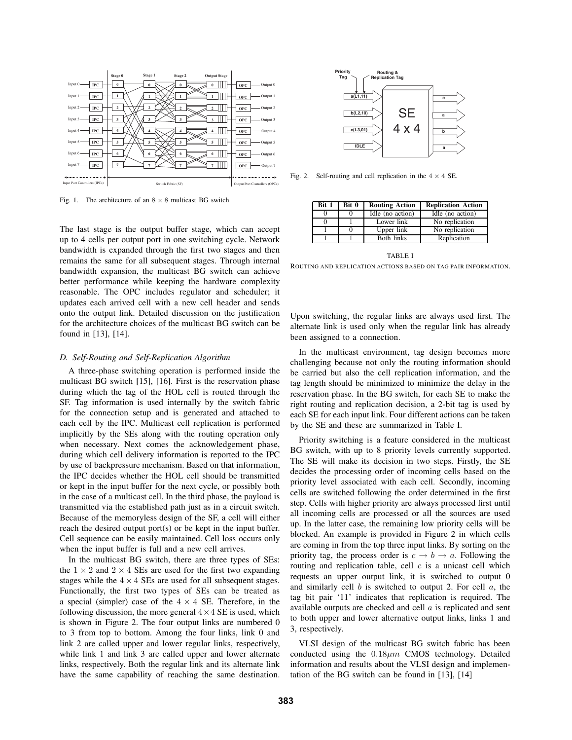

Fig. 1. The architecture of an  $8 \times 8$  multicast BG switch

The last stage is the output buffer stage, which can accept up to 4 cells per output port in one switching cycle. Network bandwidth is expanded through the first two stages and then remains the same for all subsequent stages. Through internal bandwidth expansion, the multicast BG switch can achieve better performance while keeping the hardware complexity reasonable. The OPC includes regulator and scheduler; it updates each arrived cell with a new cell header and sends onto the output link. Detailed discussion on the justification for the architecture choices of the multicast BG switch can be found in [13], [14].

# *D. Self-Routing and Self-Replication Algorithm*

A three-phase switching operation is performed inside the multicast BG switch [15], [16]. First is the reservation phase during which the tag of the HOL cell is routed through the SF. Tag information is used internally by the switch fabric for the connection setup and is generated and attached to each cell by the IPC. Multicast cell replication is performed implicitly by the SEs along with the routing operation only when necessary. Next comes the acknowledgement phase, during which cell delivery information is reported to the IPC by use of backpressure mechanism. Based on that information, the IPC decides whether the HOL cell should be transmitted or kept in the input buffer for the next cycle, or possibly both in the case of a multicast cell. In the third phase, the payload is transmitted via the established path just as in a circuit switch. Because of the memoryless design of the SF, a cell will either reach the desired output port(s) or be kept in the input buffer. Cell sequence can be easily maintained. Cell loss occurs only when the input buffer is full and a new cell arrives.

In the multicast BG switch, there are three types of SEs: the  $1 \times 2$  and  $2 \times 4$  SEs are used for the first two expanding stages while the  $4 \times 4$  SEs are used for all subsequent stages. Functionally, the first two types of SEs can be treated as a special (simpler) case of the  $4 \times 4$  SE. Therefore, in the following discussion, the more general  $4 \times 4$  SE is used, which is shown in Figure 2. The four output links are numbered 0 to 3 from top to bottom. Among the four links, link 0 and link 2 are called upper and lower regular links, respectively, while link 1 and link 3 are called upper and lower alternate links, respectively. Both the regular link and its alternate link have the same capability of reaching the same destination.



Fig. 2. Self-routing and cell replication in the  $4 \times 4$  SE.

| Bit 1 | Bit 0 | <b>Routing Action</b> | <b>Replication Action</b> |
|-------|-------|-----------------------|---------------------------|
|       |       | Idle (no action)      | Idle (no action)          |
|       |       | Lower link            | No replication            |
|       |       | Upper link            | No replication            |
|       |       | <b>Both links</b>     | Replication               |

TABLE I ROUTING AND REPLICATION ACTIONS BASED ON TAG PAIR INFORMATION.

Upon switching, the regular links are always used first. The alternate link is used only when the regular link has already been assigned to a connection.

In the multicast environment, tag design becomes more challenging because not only the routing information should be carried but also the cell replication information, and the tag length should be minimized to minimize the delay in the reservation phase. In the BG switch, for each SE to make the right routing and replication decision, a 2-bit tag is used by each SE for each input link. Four different actions can be taken by the SE and these are summarized in Table I.

Priority switching is a feature considered in the multicast BG switch, with up to 8 priority levels currently supported. The SE will make its decision in two steps. Firstly, the SE decides the processing order of incoming cells based on the priority level associated with each cell. Secondly, incoming cells are switched following the order determined in the first step. Cells with higher priority are always processed first until all incoming cells are processed or all the sources are used up. In the latter case, the remaining low priority cells will be blocked. An example is provided in Figure 2 in which cells are coming in from the top three input links. By sorting on the priority tag, the process order is  $c \rightarrow b \rightarrow a$ . Following the routing and replication table, cell  $c$  is a unicast cell which requests an upper output link, it is switched to output 0 and similarly cell  $b$  is switched to output 2. For cell  $a$ , the tag bit pair '11' indicates that replication is required. The available outputs are checked and cell a is replicated and sent to both upper and lower alternative output links, links 1 and 3, respectively.

VLSI design of the multicast BG switch fabric has been conducted using the  $0.18 \mu m$  CMOS technology. Detailed information and results about the VLSI design and implementation of the BG switch can be found in [13], [14]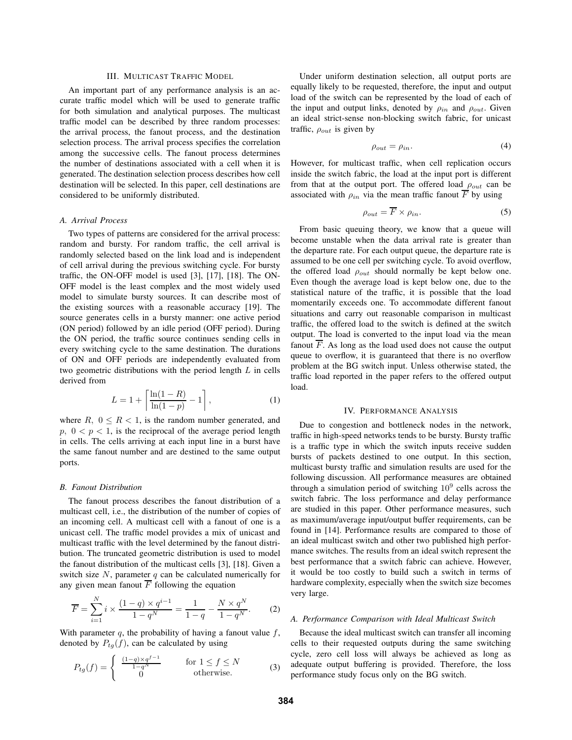# III. MULTICAST TRAFFIC MODEL

An important part of any performance analysis is an accurate traffic model which will be used to generate traffic for both simulation and analytical purposes. The multicast traffic model can be described by three random processes: the arrival process, the fanout process, and the destination selection process. The arrival process specifies the correlation among the successive cells. The fanout process determines the number of destinations associated with a cell when it is generated. The destination selection process describes how cell destination will be selected. In this paper, cell destinations are considered to be uniformly distributed.

# *A. Arrival Process*

Two types of patterns are considered for the arrival process: random and bursty. For random traffic, the cell arrival is randomly selected based on the link load and is independent of cell arrival during the previous switching cycle. For bursty traffic, the ON-OFF model is used [3], [17], [18]. The ON-OFF model is the least complex and the most widely used model to simulate bursty sources. It can describe most of the existing sources with a reasonable accuracy [19]. The source generates cells in a bursty manner: one active period (ON period) followed by an idle period (OFF period). During the ON period, the traffic source continues sending cells in every switching cycle to the same destination. The durations of ON and OFF periods are independently evaluated from two geometric distributions with the period length  $L$  in cells derived from

$$
L = 1 + \left\lceil \frac{\ln(1 - R)}{\ln(1 - p)} - 1 \right\rceil,
$$
 (1)

where  $R$ ,  $0 \leq R < 1$ , is the random number generated, and  $p, 0 < p < 1$ , is the reciprocal of the average period length in cells. The cells arriving at each input line in a burst have the same fanout number and are destined to the same output ports.

#### *B. Fanout Distribution*

The fanout process describes the fanout distribution of a multicast cell, i.e., the distribution of the number of copies of an incoming cell. A multicast cell with a fanout of one is a unicast cell. The traffic model provides a mix of unicast and multicast traffic with the level determined by the fanout distribution. The truncated geometric distribution is used to model the fanout distribution of the multicast cells [3], [18]. Given a switch size  $N$ , parameter  $q$  can be calculated numerically for any given mean fanout  $\overline{F}$  following the equation

$$
\overline{F} = \sum_{i=1}^{N} i \times \frac{(1-q) \times q^{i-1}}{1-q^N} = \frac{1}{1-q} - \frac{N \times q^N}{1-q^N}.
$$
 (2)

With parameter q, the probability of having a fanout value  $f$ , denoted by  $P_{tg}(f)$ , can be calculated by using

$$
P_{tg}(f) = \begin{cases} \frac{(1-q)\times q^{f-1}}{1-q^N} & \text{for } 1 \le f \le N\\ 0 & \text{otherwise.} \end{cases}
$$
 (3)

Under uniform destination selection, all output ports are equally likely to be requested, therefore, the input and output load of the switch can be represented by the load of each of the input and output links, denoted by  $\rho_{in}$  and  $\rho_{out}$ . Given an ideal strict-sense non-blocking switch fabric, for unicast traffic, ρ*out* is given by

$$
\rho_{out} = \rho_{in}.\tag{4}
$$

However, for multicast traffic, when cell replication occurs inside the switch fabric, the load at the input port is different from that at the output port. The offered load  $\rho_{out}$  can be associated with  $\rho_{in}$  via the mean traffic fanout  $\overline{F}$  by using

$$
\rho_{out} = \overline{F} \times \rho_{in}.
$$
 (5)

From basic queuing theory, we know that a queue will become unstable when the data arrival rate is greater than the departure rate. For each output queue, the departure rate is assumed to be one cell per switching cycle. To avoid overflow, the offered load ρ*out* should normally be kept below one. Even though the average load is kept below one, due to the statistical nature of the traffic, it is possible that the load momentarily exceeds one. To accommodate different fanout situations and carry out reasonable comparison in multicast traffic, the offered load to the switch is defined at the switch output. The load is converted to the input load via the mean fanout  $\overline{F}$ . As long as the load used does not cause the output queue to overflow, it is guaranteed that there is no overflow problem at the BG switch input. Unless otherwise stated, the traffic load reported in the paper refers to the offered output load.

## IV. PERFORMANCE ANALYSIS

Due to congestion and bottleneck nodes in the network, traffic in high-speed networks tends to be bursty. Bursty traffic is a traffic type in which the switch inputs receive sudden bursts of packets destined to one output. In this section, multicast bursty traffic and simulation results are used for the following discussion. All performance measures are obtained through a simulation period of switching  $10<sup>9</sup>$  cells across the switch fabric. The loss performance and delay performance are studied in this paper. Other performance measures, such as maximum/average input/output buffer requirements, can be found in [14]. Performance results are compared to those of an ideal multicast switch and other two published high performance switches. The results from an ideal switch represent the best performance that a switch fabric can achieve. However, it would be too costly to build such a switch in terms of hardware complexity, especially when the switch size becomes very large.

#### *A. Performance Comparison with Ideal Multicast Switch*

Because the ideal multicast switch can transfer all incoming cells to their requested outputs during the same switching cycle, zero cell loss will always be achieved as long as adequate output buffering is provided. Therefore, the loss performance study focus only on the BG switch.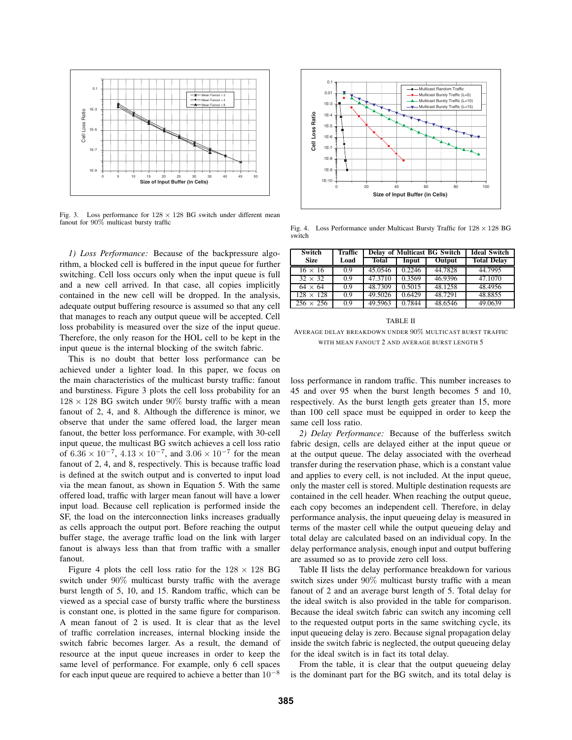

Fig. 3. Loss performance for  $128 \times 128$  BG switch under different mean fanout for 90% multicast bursty traffic

*1) Loss Performance:* Because of the backpressure algorithm, a blocked cell is buffered in the input queue for further switching. Cell loss occurs only when the input queue is full and a new cell arrived. In that case, all copies implicitly contained in the new cell will be dropped. In the analysis, adequate output buffering resource is assumed so that any cell that manages to reach any output queue will be accepted. Cell loss probability is measured over the size of the input queue. Therefore, the only reason for the HOL cell to be kept in the input queue is the internal blocking of the switch fabric.

This is no doubt that better loss performance can be achieved under a lighter load. In this paper, we focus on the main characteristics of the multicast bursty traffic: fanout and burstiness. Figure 3 plots the cell loss probability for an  $128 \times 128$  BG switch under 90% bursty traffic with a mean fanout of 2, 4, and 8. Although the difference is minor, we observe that under the same offered load, the larger mean fanout, the better loss performance. For example, with 30-cell input queue, the multicast BG switch achieves a cell loss ratio of <sup>6</sup>.<sup>36</sup> *<sup>×</sup>* <sup>10</sup>*−*<sup>7</sup>, <sup>4</sup>.<sup>13</sup> *<sup>×</sup>* <sup>10</sup>*−*<sup>7</sup>, and <sup>3</sup>.<sup>06</sup> *<sup>×</sup>* <sup>10</sup>*−*<sup>7</sup> for the mean fanout of 2, 4, and 8, respectively. This is because traffic load is defined at the switch output and is converted to input load via the mean fanout, as shown in Equation 5. With the same offered load, traffic with larger mean fanout will have a lower input load. Because cell replication is performed inside the SF, the load on the interconnection links increases gradually as cells approach the output port. Before reaching the output buffer stage, the average traffic load on the link with larger fanout is always less than that from traffic with a smaller fanout.

Figure 4 plots the cell loss ratio for the  $128 \times 128$  BG switch under 90% multicast bursty traffic with the average burst length of 5, 10, and 15. Random traffic, which can be viewed as a special case of bursty traffic where the burstiness is constant one, is plotted in the same figure for comparison. A mean fanout of 2 is used. It is clear that as the level of traffic correlation increases, internal blocking inside the switch fabric becomes larger. As a result, the demand of resource at the input queue increases in order to keep the same level of performance. For example, only 6 cell spaces for each input queue are required to achieve a better than 10*−*<sup>8</sup>



Fig. 4. Loss Performance under Multicast Bursty Traffic for 128 *×* 128 BG switch

| Switch           | Traffic | <b>Delay of Multicast BG Switch</b> |        |               | <b>Ideal Switch</b> |
|------------------|---------|-------------------------------------|--------|---------------|---------------------|
| <b>Size</b>      | Load    | Total                               | Input  | <b>Output</b> | <b>Total Delay</b>  |
| $16 \times 16$   | 0.9     | 45.0546                             | 0.2246 | 44.7828       | 44.7995             |
| $32 \times 32$   | 0.9     | 47.3710                             | 0.3569 | 46.9396       | 47.1070             |
| $64 \times 64$   | 0.9     | 48.7309                             | 0.5015 | 48.1258       | 48.4956             |
| $128 \times 128$ | 0.9     | 49.5026                             | 0.6429 | 48.7291       | 48.8855             |
| $256 \times 256$ | 0.9     | 49.5963                             | 0.7844 | 48.6546       | 49.0639             |

| <b>TABLE II</b>                                           |
|-----------------------------------------------------------|
| AVERAGE DELAY BREAKDOWN UNDER 90% MULTICAST BURST TRAFFIC |
| WITH MEAN FANOUT 2 AND AVERAGE BURST LENGTH 5             |

loss performance in random traffic. This number increases to 45 and over 95 when the burst length becomes 5 and 10, respectively. As the burst length gets greater than 15, more than 100 cell space must be equipped in order to keep the same cell loss ratio.

*2) Delay Performance:* Because of the bufferless switch fabric design, cells are delayed either at the input queue or at the output queue. The delay associated with the overhead transfer during the reservation phase, which is a constant value and applies to every cell, is not included. At the input queue, only the master cell is stored. Multiple destination requests are contained in the cell header. When reaching the output queue, each copy becomes an independent cell. Therefore, in delay performance analysis, the input queueing delay is measured in terms of the master cell while the output queueing delay and total delay are calculated based on an individual copy. In the delay performance analysis, enough input and output buffering are assumed so as to provide zero cell loss.

Table II lists the delay performance breakdown for various switch sizes under 90% multicast bursty traffic with a mean fanout of 2 and an average burst length of 5. Total delay for the ideal switch is also provided in the table for comparison. Because the ideal switch fabric can switch any incoming cell to the requested output ports in the same switching cycle, its input queueing delay is zero. Because signal propagation delay inside the switch fabric is neglected, the output queueing delay for the ideal switch is in fact its total delay.

From the table, it is clear that the output queueing delay is the dominant part for the BG switch, and its total delay is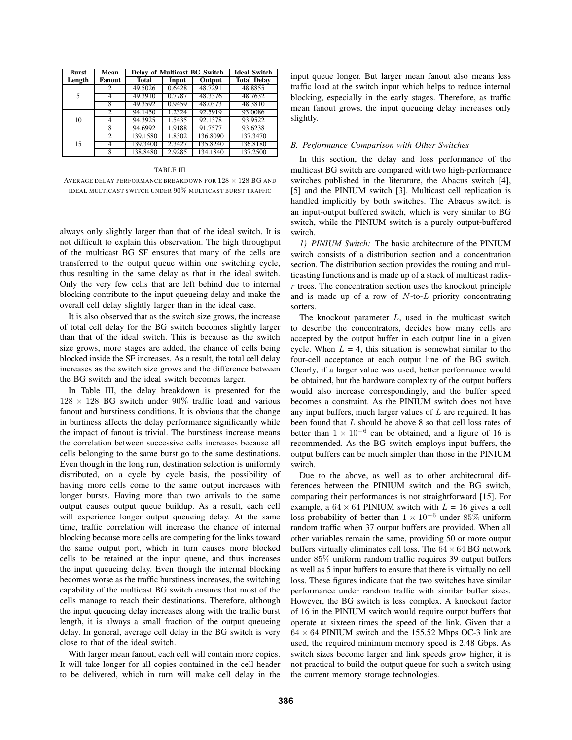| <b>Burst</b> | Mean           | <b>Delay of Multicast BG Switch</b> |        |               | <b>Ideal Switch</b> |
|--------------|----------------|-------------------------------------|--------|---------------|---------------------|
| Length       | <b>Fanout</b>  | Total                               | Input  | <b>Output</b> | <b>Total Delay</b>  |
|              | $\overline{c}$ | 49.5026                             | 0.6428 | 48.7291       | 48.8855             |
| 5            | 4              | 49.3910                             | 0.7787 | 48.3376       | 48.7632             |
|              |                | 49.3592                             | 0.9459 | 48.0373       | 48.3810             |
|              | 2              | 94.1450                             | 1.2324 | 92.5919       | 93.0086             |
| 10           | 4              | 94.3925                             | 1.5435 | 92.1378       | 93.9522             |
|              |                | 94.6992                             | 1.9188 | 91.7577       | 93.6238             |
|              | 2              | 139.1580                            | 1.8302 | 136.8090      | 137.3470            |
| 15           | 4              | 139.3400                            | 2.3427 | 135.8240      | 136.8180            |
|              | 8              | 138.8480                            | 2.9285 | 134.1840      | 137.2500            |

TABLE III AVERAGE DELAY PERFORMANCE BREAKDOWN FOR 128 *×* 128 BG AND IDEAL MULTICAST SWITCH UNDER 90% MULTICAST BURST TRAFFIC

always only slightly larger than that of the ideal switch. It is not difficult to explain this observation. The high throughput of the multicast BG SF ensures that many of the cells are transferred to the output queue within one switching cycle, thus resulting in the same delay as that in the ideal switch. Only the very few cells that are left behind due to internal blocking contribute to the input queueing delay and make the overall cell delay slightly larger than in the ideal case.

It is also observed that as the switch size grows, the increase of total cell delay for the BG switch becomes slightly larger than that of the ideal switch. This is because as the switch size grows, more stages are added, the chance of cells being blocked inside the SF increases. As a result, the total cell delay increases as the switch size grows and the difference between the BG switch and the ideal switch becomes larger.

In Table III, the delay breakdown is presented for the 128 *×* 128 BG switch under 90% traffic load and various fanout and burstiness conditions. It is obvious that the change in burtiness affects the delay performance significantly while the impact of fanout is trivial. The burstiness increase means the correlation between successive cells increases because all cells belonging to the same burst go to the same destinations. Even though in the long run, destination selection is uniformly distributed, on a cycle by cycle basis, the possibility of having more cells come to the same output increases with longer bursts. Having more than two arrivals to the same output causes output queue buildup. As a result, each cell will experience longer output queueing delay. At the same time, traffic correlation will increase the chance of internal blocking because more cells are competing for the links toward the same output port, which in turn causes more blocked cells to be retained at the input queue, and thus increases the input queueing delay. Even though the internal blocking becomes worse as the traffic burstiness increases, the switching capability of the multicast BG switch ensures that most of the cells manage to reach their destinations. Therefore, although the input queueing delay increases along with the traffic burst length, it is always a small fraction of the output queueing delay. In general, average cell delay in the BG switch is very close to that of the ideal switch.

With larger mean fanout, each cell will contain more copies. It will take longer for all copies contained in the cell header to be delivered, which in turn will make cell delay in the

input queue longer. But larger mean fanout also means less traffic load at the switch input which helps to reduce internal blocking, especially in the early stages. Therefore, as traffic mean fanout grows, the input queueing delay increases only slightly.

#### *B. Performance Comparison with Other Switches*

In this section, the delay and loss performance of the multicast BG switch are compared with two high-performance switches published in the literature, the Abacus switch [4], [5] and the PINIUM switch [3]. Multicast cell replication is handled implicitly by both switches. The Abacus switch is an input-output buffered switch, which is very similar to BG switch, while the PINIUM switch is a purely output-buffered switch.

*1) PINIUM Switch:* The basic architecture of the PINIUM switch consists of a distribution section and a concentration section. The distribution section provides the routing and multicasting functions and is made up of a stack of multicast radix $r$  trees. The concentration section uses the knockout principle and is made up of a row of  $N$ -to- $L$  priority concentrating sorters.

The knockout parameter  $L$ , used in the multicast switch to describe the concentrators, decides how many cells are accepted by the output buffer in each output line in a given cycle. When  $L = 4$ , this situation is somewhat similar to the four-cell acceptance at each output line of the BG switch. Clearly, if a larger value was used, better performance would be obtained, but the hardware complexity of the output buffers would also increase correspondingly, and the buffer speed becomes a constraint. As the PINIUM switch does not have any input buffers, much larger values of  $L$  are required. It has been found that L should be above 8 so that cell loss rates of better than  $1 \times 10^{-6}$  can be obtained, and a figure of 16 is recommended. As the BG switch employs input buffers, the output buffers can be much simpler than those in the PINIUM switch.

Due to the above, as well as to other architectural differences between the PINIUM switch and the BG switch, comparing their performances is not straightforward [15]. For example, a  $64 \times 64$  PINIUM switch with  $L = 16$  gives a cell loss probability of better than <sup>1</sup> *<sup>×</sup>* <sup>10</sup>*−*<sup>6</sup> under 85% uniform random traffic when 37 output buffers are provided. When all other variables remain the same, providing 50 or more output buffers virtually eliminates cell loss. The 64*×*64 BG network under 85% uniform random traffic requires 39 output buffers as well as 5 input buffers to ensure that there is virtually no cell loss. These figures indicate that the two switches have similar performance under random traffic with similar buffer sizes. However, the BG switch is less complex. A knockout factor of 16 in the PINIUM switch would require output buffers that operate at sixteen times the speed of the link. Given that a  $64 \times 64$  PINIUM switch and the 155.52 Mbps OC-3 link are used, the required minimum memory speed is 2.48 Gbps. As switch sizes become larger and link speeds grow higher, it is not practical to build the output queue for such a switch using the current memory storage technologies.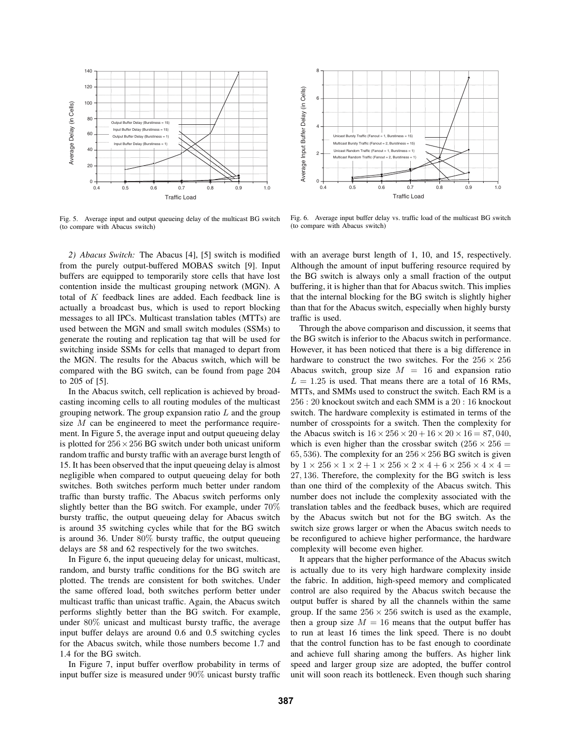

Fig. 5. Average input and output queueing delay of the multicast BG switch (to compare with Abacus switch)

*2) Abacus Switch:* The Abacus [4], [5] switch is modified from the purely output-buffered MOBAS switch [9]. Input buffers are equipped to temporarily store cells that have lost contention inside the multicast grouping network (MGN). A total of K feedback lines are added. Each feedback line is actually a broadcast bus, which is used to report blocking messages to all IPCs. Multicast translation tables (MTTs) are used between the MGN and small switch modules (SSMs) to generate the routing and replication tag that will be used for switching inside SSMs for cells that managed to depart from the MGN. The results for the Abacus switch, which will be compared with the BG switch, can be found from page 204 to 205 of [5].

In the Abacus switch, cell replication is achieved by broadcasting incoming cells to all routing modules of the multicast grouping network. The group expansion ratio  $L$  and the group size M can be engineered to meet the performance requirement. In Figure 5, the average input and output queueing delay is plotted for 256*×*256 BG switch under both unicast uniform random traffic and bursty traffic with an average burst length of 15. It has been observed that the input queueing delay is almost negligible when compared to output queueing delay for both switches. Both switches perform much better under random traffic than bursty traffic. The Abacus switch performs only slightly better than the BG switch. For example, under 70% bursty traffic, the output queueing delay for Abacus switch is around 35 switching cycles while that for the BG switch is around 36. Under 80% bursty traffic, the output queueing delays are 58 and 62 respectively for the two switches.

In Figure 6, the input queueing delay for unicast, multicast, random, and bursty traffic conditions for the BG switch are plotted. The trends are consistent for both switches. Under the same offered load, both switches perform better under multicast traffic than unicast traffic. Again, the Abacus switch performs slightly better than the BG switch. For example, under 80% unicast and multicast bursty traffic, the average input buffer delays are around 0.6 and 0.5 switching cycles for the Abacus switch, while those numbers become 1.7 and 1.4 for the BG switch.

In Figure 7, input buffer overflow probability in terms of input buffer size is measured under 90% unicast bursty traffic



Fig. 6. Average input buffer delay vs. traffic load of the multicast BG switch (to compare with Abacus switch)

with an average burst length of 1, 10, and 15, respectively. Although the amount of input buffering resource required by the BG switch is always only a small fraction of the output buffering, it is higher than that for Abacus switch. This implies that the internal blocking for the BG switch is slightly higher than that for the Abacus switch, especially when highly bursty traffic is used.

Through the above comparison and discussion, it seems that the BG switch is inferior to the Abacus switch in performance. However, it has been noticed that there is a big difference in hardware to construct the two switches. For the  $256 \times 256$ Abacus switch, group size  $M = 16$  and expansion ratio  $L = 1.25$  is used. That means there are a total of 16 RMs, MTTs, and SMMs used to construct the switch. Each RM is a 256 : 20 knockout switch and each SMM is a 20 : 16 knockout switch. The hardware complexity is estimated in terms of the number of crosspoints for a switch. Then the complexity for the Abacus switch is  $16 \times 256 \times 20 + 16 \times 20 \times 16 = 87,040$ , which is even higher than the crossbar switch  $(256 \times 256)$ 65, 536). The complexity for an 256*×*256 BG switch is given by  $1 \times 256 \times 1 \times 2 + 1 \times 256 \times 2 \times 4 + 6 \times 256 \times 4 \times 4 =$ 27, 136. Therefore, the complexity for the BG switch is less than one third of the complexity of the Abacus switch. This number does not include the complexity associated with the translation tables and the feedback buses, which are required by the Abacus switch but not for the BG switch. As the switch size grows larger or when the Abacus switch needs to be reconfigured to achieve higher performance, the hardware complexity will become even higher.

It appears that the higher performance of the Abacus switch is actually due to its very high hardware complexity inside the fabric. In addition, high-speed memory and complicated control are also required by the Abacus switch because the output buffer is shared by all the channels within the same group. If the same  $256 \times 256$  switch is used as the example, then a group size  $M = 16$  means that the output buffer has to run at least 16 times the link speed. There is no doubt that the control function has to be fast enough to coordinate and achieve full sharing among the buffers. As higher link speed and larger group size are adopted, the buffer control unit will soon reach its bottleneck. Even though such sharing